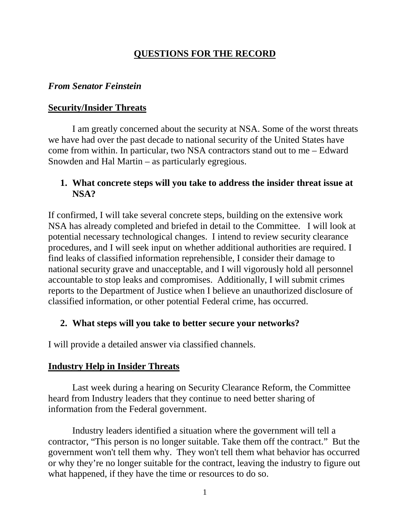# **QUESTIONS FOR THE RECORD**

### *From Senator Feinstein*

# **Security/Insider Threats**

I am greatly concerned about the security at NSA. Some of the worst threats we have had over the past decade to national security of the United States have come from within. In particular, two NSA contractors stand out to me – Edward Snowden and Hal Martin – as particularly egregious.

# **1. What concrete steps will you take to address the insider threat issue at NSA?**

If confirmed, I will take several concrete steps, building on the extensive work NSA has already completed and briefed in detail to the Committee. I will look at potential necessary technological changes. I intend to review security clearance procedures, and I will seek input on whether additional authorities are required. I find leaks of classified information reprehensible, I consider their damage to national security grave and unacceptable, and I will vigorously hold all personnel accountable to stop leaks and compromises. Additionally, I will submit crimes reports to the Department of Justice when I believe an unauthorized disclosure of classified information, or other potential Federal crime, has occurred.

# **2. What steps will you take to better secure your networks?**

I will provide a detailed answer via classified channels.

# **Industry Help in Insider Threats**

Last week during a hearing on Security Clearance Reform, the Committee heard from Industry leaders that they continue to need better sharing of information from the Federal government.

Industry leaders identified a situation where the government will tell a contractor, "This person is no longer suitable. Take them off the contract." But the government won't tell them why. They won't tell them what behavior has occurred or why they're no longer suitable for the contract, leaving the industry to figure out what happened, if they have the time or resources to do so.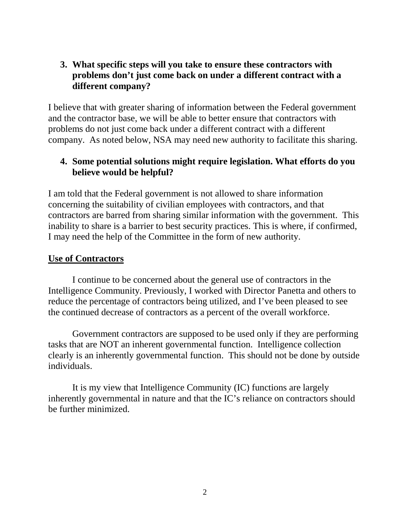### **3. What specific steps will you take to ensure these contractors with problems don't just come back on under a different contract with a different company?**

I believe that with greater sharing of information between the Federal government and the contractor base, we will be able to better ensure that contractors with problems do not just come back under a different contract with a different company. As noted below, NSA may need new authority to facilitate this sharing.

### **4. Some potential solutions might require legislation. What efforts do you believe would be helpful?**

I am told that the Federal government is not allowed to share information concerning the suitability of civilian employees with contractors, and that contractors are barred from sharing similar information with the government. This inability to share is a barrier to best security practices. This is where, if confirmed, I may need the help of the Committee in the form of new authority.

### **Use of Contractors**

I continue to be concerned about the general use of contractors in the Intelligence Community. Previously, I worked with Director Panetta and others to reduce the percentage of contractors being utilized, and I've been pleased to see the continued decrease of contractors as a percent of the overall workforce.

Government contractors are supposed to be used only if they are performing tasks that are NOT an inherent governmental function. Intelligence collection clearly is an inherently governmental function. This should not be done by outside individuals.

It is my view that Intelligence Community (IC) functions are largely inherently governmental in nature and that the IC's reliance on contractors should be further minimized.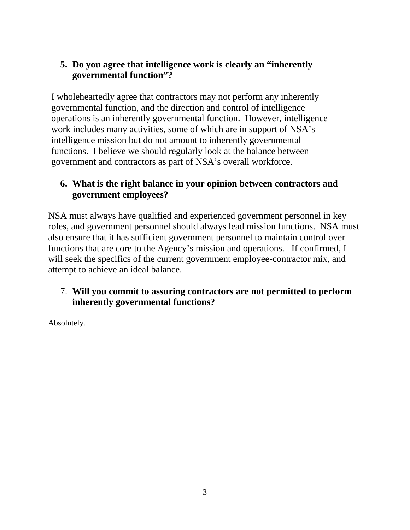# **5. Do you agree that intelligence work is clearly an "inherently governmental function"?**

I wholeheartedly agree that contractors may not perform any inherently governmental function, and the direction and control of intelligence operations is an inherently governmental function. However, intelligence work includes many activities, some of which are in support of NSA's intelligence mission but do not amount to inherently governmental functions. I believe we should regularly look at the balance between government and contractors as part of NSA's overall workforce.

# **6. What is the right balance in your opinion between contractors and government employees?**

NSA must always have qualified and experienced government personnel in key roles, and government personnel should always lead mission functions. NSA must also ensure that it has sufficient government personnel to maintain control over functions that are core to the Agency's mission and operations. If confirmed, I will seek the specifics of the current government employee-contractor mix, and attempt to achieve an ideal balance.

# 7. **Will you commit to assuring contractors are not permitted to perform inherently governmental functions?**

Absolutely.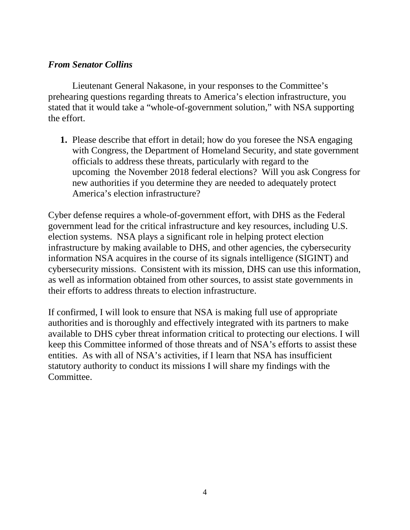### *From Senator Collins*

Lieutenant General Nakasone, in your responses to the Committee's prehearing questions regarding threats to America's election infrastructure, you stated that it would take a "whole-of-government solution," with NSA supporting the effort.

**1.** Please describe that effort in detail; how do you foresee the NSA engaging with Congress, the Department of Homeland Security, and state government officials to address these threats, particularly with regard to the upcoming the November 2018 federal elections? Will you ask Congress for new authorities if you determine they are needed to adequately protect America's election infrastructure?

Cyber defense requires a whole-of-government effort, with DHS as the Federal government lead for the critical infrastructure and key resources, including U.S. election systems. NSA plays a significant role in helping protect election infrastructure by making available to DHS, and other agencies, the cybersecurity information NSA acquires in the course of its signals intelligence (SIGINT) and cybersecurity missions. Consistent with its mission, DHS can use this information, as well as information obtained from other sources, to assist state governments in their efforts to address threats to election infrastructure.

If confirmed, I will look to ensure that NSA is making full use of appropriate authorities and is thoroughly and effectively integrated with its partners to make available to DHS cyber threat information critical to protecting our elections. I will keep this Committee informed of those threats and of NSA's efforts to assist these entities. As with all of NSA's activities, if I learn that NSA has insufficient statutory authority to conduct its missions I will share my findings with the Committee.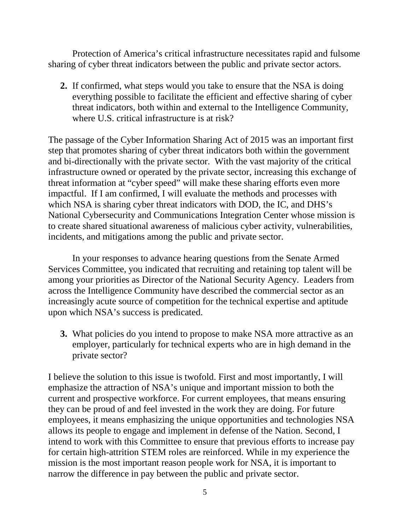Protection of America's critical infrastructure necessitates rapid and fulsome sharing of cyber threat indicators between the public and private sector actors.

**2.** If confirmed, what steps would you take to ensure that the NSA is doing everything possible to facilitate the efficient and effective sharing of cyber threat indicators, both within and external to the Intelligence Community, where U.S. critical infrastructure is at risk?

The passage of the Cyber Information Sharing Act of 2015 was an important first step that promotes sharing of cyber threat indicators both within the government and bi-directionally with the private sector. With the vast majority of the critical infrastructure owned or operated by the private sector, increasing this exchange of threat information at "cyber speed" will make these sharing efforts even more impactful. If I am confirmed, I will evaluate the methods and processes with which NSA is sharing cyber threat indicators with DOD, the IC, and DHS's National Cybersecurity and Communications Integration Center whose mission is to create shared situational awareness of malicious cyber activity, vulnerabilities, incidents, and mitigations among the public and private sector.

In your responses to advance hearing questions from the Senate Armed Services Committee, you indicated that recruiting and retaining top talent will be among your priorities as Director of the National Security Agency. Leaders from across the Intelligence Community have described the commercial sector as an increasingly acute source of competition for the technical expertise and aptitude upon which NSA's success is predicated.

**3.** What policies do you intend to propose to make NSA more attractive as an employer, particularly for technical experts who are in high demand in the private sector?

I believe the solution to this issue is twofold. First and most importantly, I will emphasize the attraction of NSA's unique and important mission to both the current and prospective workforce. For current employees, that means ensuring they can be proud of and feel invested in the work they are doing. For future employees, it means emphasizing the unique opportunities and technologies NSA allows its people to engage and implement in defense of the Nation. Second, I intend to work with this Committee to ensure that previous efforts to increase pay for certain high-attrition STEM roles are reinforced. While in my experience the mission is the most important reason people work for NSA, it is important to narrow the difference in pay between the public and private sector.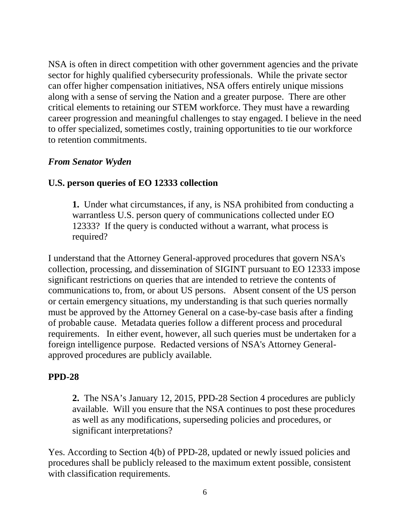NSA is often in direct competition with other government agencies and the private sector for highly qualified cybersecurity professionals. While the private sector can offer higher compensation initiatives, NSA offers entirely unique missions along with a sense of serving the Nation and a greater purpose. There are other critical elements to retaining our STEM workforce. They must have a rewarding career progression and meaningful challenges to stay engaged. I believe in the need to offer specialized, sometimes costly, training opportunities to tie our workforce to retention commitments.

### *From Senator Wyden*

# **U.S. person queries of EO 12333 collection**

**1.** Under what circumstances, if any, is NSA prohibited from conducting a warrantless U.S. person query of communications collected under EO 12333? If the query is conducted without a warrant, what process is required?

I understand that the Attorney General-approved procedures that govern NSA's collection, processing, and dissemination of SIGINT pursuant to EO 12333 impose significant restrictions on queries that are intended to retrieve the contents of communications to, from, or about US persons. Absent consent of the US person or certain emergency situations, my understanding is that such queries normally must be approved by the Attorney General on a case-by-case basis after a finding of probable cause. Metadata queries follow a different process and procedural requirements. In either event, however, all such queries must be undertaken for a foreign intelligence purpose. Redacted versions of NSA's Attorney Generalapproved procedures are publicly available.

# **PPD-28**

**2.** The NSA's January 12, 2015, PPD-28 Section 4 procedures are publicly available. Will you ensure that the NSA continues to post these procedures as well as any modifications, superseding policies and procedures, or significant interpretations?

Yes. According to Section 4(b) of PPD-28, updated or newly issued policies and procedures shall be publicly released to the maximum extent possible, consistent with classification requirements.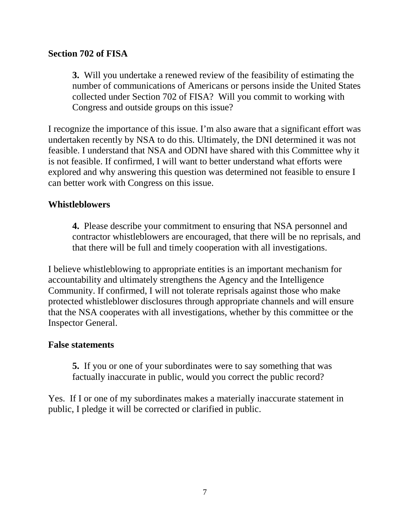### **Section 702 of FISA**

**3.** Will you undertake a renewed review of the feasibility of estimating the number of communications of Americans or persons inside the United States collected under Section 702 of FISA? Will you commit to working with Congress and outside groups on this issue?

I recognize the importance of this issue. I'm also aware that a significant effort was undertaken recently by NSA to do this. Ultimately, the DNI determined it was not feasible. I understand that NSA and ODNI have shared with this Committee why it is not feasible. If confirmed, I will want to better understand what efforts were explored and why answering this question was determined not feasible to ensure I can better work with Congress on this issue.

### **Whistleblowers**

**4.** Please describe your commitment to ensuring that NSA personnel and contractor whistleblowers are encouraged, that there will be no reprisals, and that there will be full and timely cooperation with all investigations.

I believe whistleblowing to appropriate entities is an important mechanism for accountability and ultimately strengthens the Agency and the Intelligence Community. If confirmed, I will not tolerate reprisals against those who make protected whistleblower disclosures through appropriate channels and will ensure that the NSA cooperates with all investigations, whether by this committee or the Inspector General.

#### **False statements**

**5.** If you or one of your subordinates were to say something that was factually inaccurate in public, would you correct the public record?

Yes. If I or one of my subordinates makes a materially inaccurate statement in public, I pledge it will be corrected or clarified in public.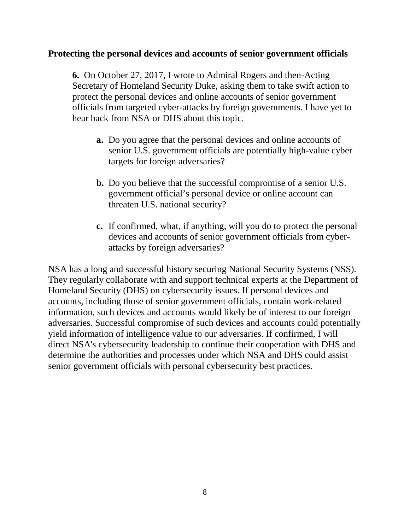#### **Protecting the personal devices and accounts of senior government officials**

**6.** On October 27, 2017, I wrote to Admiral Rogers and then-Acting Secretary of Homeland Security Duke, asking them to take swift action to protect the personal devices and online accounts of senior government officials from targeted cyber-attacks by foreign governments. I have yet to hear back from NSA or DHS about this topic.

- **a.** Do you agree that the personal devices and online accounts of senior U.S. government officials are potentially high-value cyber targets for foreign adversaries?
- **b.** Do you believe that the successful compromise of a senior U.S. government official's personal device or online account can threaten U.S. national security?
- **c.** If confirmed, what, if anything, will you do to protect the personal devices and accounts of senior government officials from cyberattacks by foreign adversaries?

NSA has a long and successful history securing National Security Systems (NSS). They regularly collaborate with and support technical experts at the Department of Homeland Security (DHS) on cybersecurity issues. If personal devices and accounts, including those of senior government officials, contain work-related information, such devices and accounts would likely be of interest to our foreign adversaries. Successful compromise of such devices and accounts could potentially yield information of intelligence value to our adversaries. If confirmed, I will direct NSA's cybersecurity leadership to continue their cooperation with DHS and determine the authorities and processes under which NSA and DHS could assist senior government officials with personal cybersecurity best practices.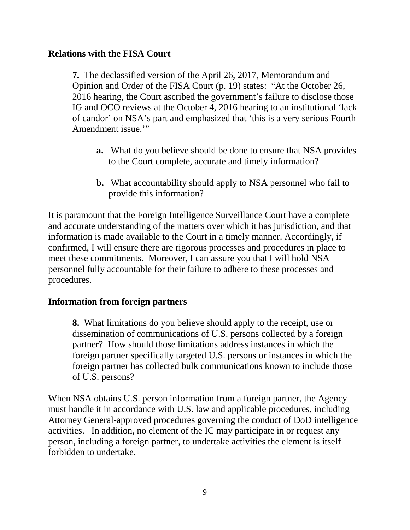### **Relations with the FISA Court**

**7.** The declassified version of the April 26, 2017, Memorandum and Opinion and Order of the FISA Court (p. 19) states: "At the October 26, 2016 hearing, the Court ascribed the government's failure to disclose those IG and OCO reviews at the October 4, 2016 hearing to an institutional 'lack of candor' on NSA's part and emphasized that 'this is a very serious Fourth Amendment issue."

- **a.** What do you believe should be done to ensure that NSA provides to the Court complete, accurate and timely information?
- **b.** What accountability should apply to NSA personnel who fail to provide this information?

It is paramount that the Foreign Intelligence Surveillance Court have a complete and accurate understanding of the matters over which it has jurisdiction, and that information is made available to the Court in a timely manner. Accordingly, if confirmed, I will ensure there are rigorous processes and procedures in place to meet these commitments. Moreover, I can assure you that I will hold NSA personnel fully accountable for their failure to adhere to these processes and procedures.

### **Information from foreign partners**

**8.** What limitations do you believe should apply to the receipt, use or dissemination of communications of U.S. persons collected by a foreign partner? How should those limitations address instances in which the foreign partner specifically targeted U.S. persons or instances in which the foreign partner has collected bulk communications known to include those of U.S. persons?

When NSA obtains U.S. person information from a foreign partner, the Agency must handle it in accordance with U.S. law and applicable procedures, including Attorney General-approved procedures governing the conduct of DoD intelligence activities. In addition, no element of the IC may participate in or request any person, including a foreign partner, to undertake activities the element is itself forbidden to undertake.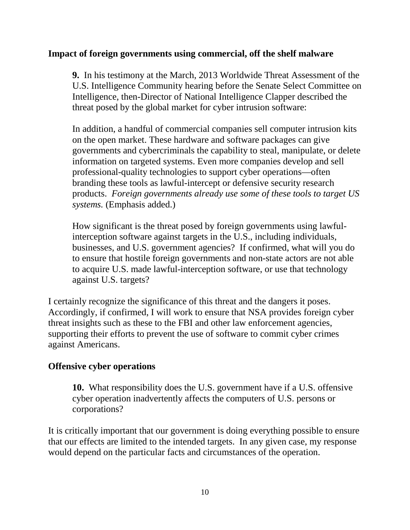### **Impact of foreign governments using commercial, off the shelf malware**

**9.** In his testimony at the March, 2013 Worldwide Threat Assessment of the U.S. Intelligence Community hearing before the Senate Select Committee on Intelligence, then-Director of National Intelligence Clapper described the threat posed by the global market for cyber intrusion software:

In addition, a handful of commercial companies sell computer intrusion kits on the open market. These hardware and software packages can give governments and cybercriminals the capability to steal, manipulate, or delete information on targeted systems. Even more companies develop and sell professional-quality technologies to support cyber operations—often branding these tools as lawful-intercept or defensive security research products. *Foreign governments already use some of these tools to target US systems.* (Emphasis added.)

How significant is the threat posed by foreign governments using lawfulinterception software against targets in the U.S., including individuals, businesses, and U.S. government agencies? If confirmed, what will you do to ensure that hostile foreign governments and non-state actors are not able to acquire U.S. made lawful-interception software, or use that technology against U.S. targets?

I certainly recognize the significance of this threat and the dangers it poses. Accordingly, if confirmed, I will work to ensure that NSA provides foreign cyber threat insights such as these to the FBI and other law enforcement agencies, supporting their efforts to prevent the use of software to commit cyber crimes against Americans.

### **Offensive cyber operations**

**10.** What responsibility does the U.S. government have if a U.S. offensive cyber operation inadvertently affects the computers of U.S. persons or corporations?

It is critically important that our government is doing everything possible to ensure that our effects are limited to the intended targets. In any given case, my response would depend on the particular facts and circumstances of the operation.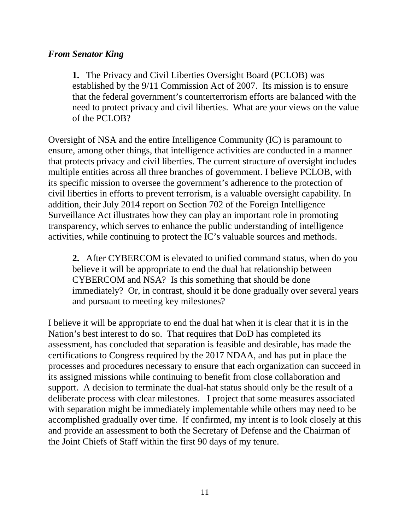### *From Senator King*

**1.** The Privacy and Civil Liberties Oversight Board (PCLOB) was established by the 9/11 Commission Act of 2007. Its mission is to ensure that the federal government's counterterrorism efforts are balanced with the need to protect privacy and civil liberties. What are your views on the value of the PCLOB?

Oversight of NSA and the entire Intelligence Community (IC) is paramount to ensure, among other things, that intelligence activities are conducted in a manner that protects privacy and civil liberties. The current structure of oversight includes multiple entities across all three branches of government. I believe PCLOB, with its specific mission to oversee the government's adherence to the protection of civil liberties in efforts to prevent terrorism, is a valuable oversight capability. In addition, their July 2014 report on Section 702 of the Foreign Intelligence Surveillance Act illustrates how they can play an important role in promoting transparency, which serves to enhance the public understanding of intelligence activities, while continuing to protect the IC's valuable sources and methods.

**2.** After CYBERCOM is elevated to unified command status, when do you believe it will be appropriate to end the dual hat relationship between CYBERCOM and NSA? Is this something that should be done immediately? Or, in contrast, should it be done gradually over several years and pursuant to meeting key milestones?

I believe it will be appropriate to end the dual hat when it is clear that it is in the Nation's best interest to do so. That requires that DoD has completed its assessment, has concluded that separation is feasible and desirable, has made the certifications to Congress required by the 2017 NDAA, and has put in place the processes and procedures necessary to ensure that each organization can succeed in its assigned missions while continuing to benefit from close collaboration and support. A decision to terminate the dual-hat status should only be the result of a deliberate process with clear milestones. I project that some measures associated with separation might be immediately implementable while others may need to be accomplished gradually over time. If confirmed, my intent is to look closely at this and provide an assessment to both the Secretary of Defense and the Chairman of the Joint Chiefs of Staff within the first 90 days of my tenure.